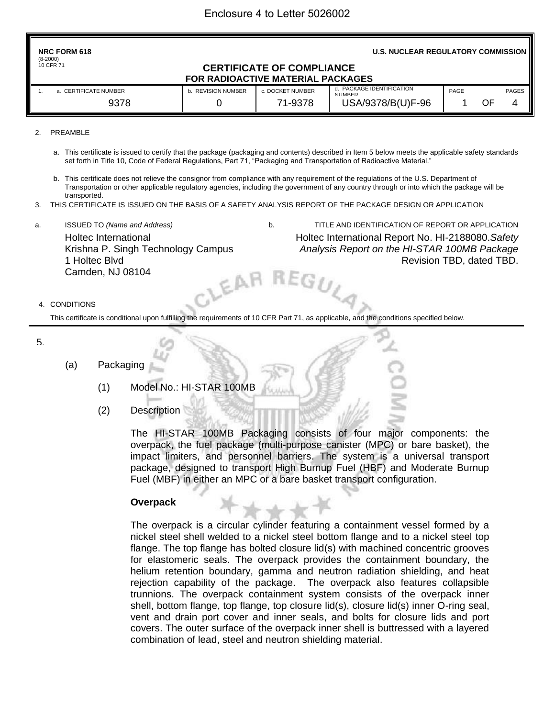#### 2. PREAMBLE

- a. This certificate is issued to certify that the package (packaging and contents) described in Item 5 below meets the applicable safety standards set forth in Title 10, Code of Federal Regulations, Part 71, "Packaging and Transportation of Radioactive Material."
- b. This certificate does not relieve the consignor from compliance with any requirement of the regulations of the U.S. Department of Transportation or other applicable regulatory agencies, including the government of any country through or into which the package will be transported.
- 3. THIS CERTIFICATE IS ISSUED ON THE BASIS OF A SAFETY ANALYSIS REPORT OF THE PACKAGE DESIGN OR APPLICATION
- a. ISSUED TO *(Name and Address)* b. TITLE AND IDENTIFICATION OF REPORT OR APPLICATION

GU,

Holtec International Krishna P. Singh Technology Campus 1 Holtec Blvd Camden, NJ 08104 EAI Holtec International Report No. HI-2188080.*Safety Analysis Report on the HI-STAR 100MB Package* Revision TBD, dated TBD.

#### 4. CONDITIONS

This certificate is conditional upon fulfilling the requirements of 10 CFR Part 71, as applicable, and the conditions specified below.

5.

#### (a) Packaging

- (1) Model No.: HI-STAR 100MB
- (2) Description

The HI-STAR 100MB Packaging consists of four major components: the overpack, the fuel package (multi-purpose canister (MPC) or bare basket), the impact limiters, and personnel barriers. The system is a universal transport package, designed to transport High Burnup Fuel (HBF) and Moderate Burnup Fuel (MBF) in either an MPC or a bare basket transport configuration.

#### **Overpack**

The overpack is a circular cylinder featuring a containment vessel formed by a nickel steel shell welded to a nickel steel bottom flange and to a nickel steel top flange. The top flange has bolted closure lid(s) with machined concentric grooves for elastomeric seals. The overpack provides the containment boundary, the helium retention boundary, gamma and neutron radiation shielding, and heat rejection capability of the package. The overpack also features collapsible trunnions. The overpack containment system consists of the overpack inner shell, bottom flange, top flange, top closure lid(s), closure lid(s) inner O-ring seal, vent and drain port cover and inner seals, and bolts for closure lids and port covers. The outer surface of the overpack inner shell is buttressed with a layered combination of lead, steel and neutron shielding material.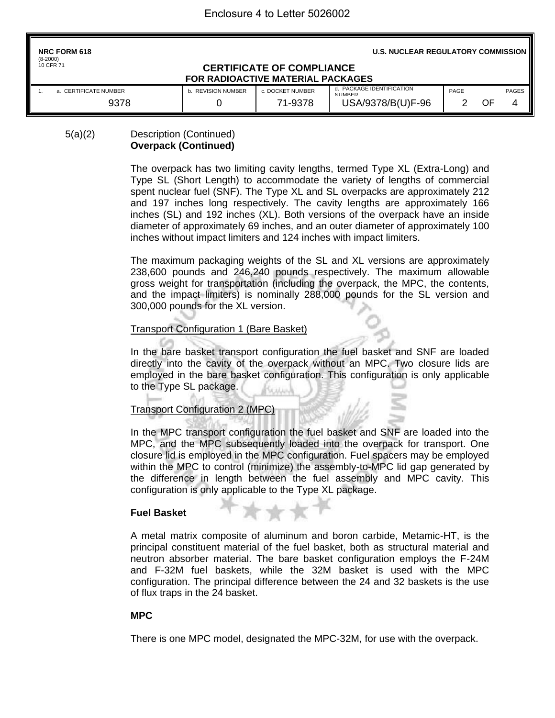| <b>NRC FORM 618</b><br>$(8-2000)$                                                         | <b>U.S. NUCLEAR REGULATORY COMMISSION I</b> |                  |                                       |      |    |              |  |  |
|-------------------------------------------------------------------------------------------|---------------------------------------------|------------------|---------------------------------------|------|----|--------------|--|--|
| 10 CFR 71<br><b>CERTIFICATE OF COMPLIANCE</b><br><b>FOR RADIOACTIVE MATERIAL PACKAGES</b> |                                             |                  |                                       |      |    |              |  |  |
| a. CERTIFICATE NUMBER                                                                     | <b>b. REVISION NUMBER</b>                   | c. DOCKET NUMBER | d. PACKAGE IDENTIFICATION<br>NI IMRER | PAGE |    | <b>PAGES</b> |  |  |
| 9378                                                                                      |                                             | 71-9378          | USA/9378/B(U)F-96                     |      | OF | 4            |  |  |

## 5(a)(2) Description (Continued) **Overpack (Continued)**

The overpack has two limiting cavity lengths, termed Type XL (Extra-Long) and Type SL (Short Length) to accommodate the variety of lengths of commercial spent nuclear fuel (SNF). The Type XL and SL overpacks are approximately 212 and 197 inches long respectively. The cavity lengths are approximately 166 inches (SL) and 192 inches (XL). Both versions of the overpack have an inside diameter of approximately 69 inches, and an outer diameter of approximately 100 inches without impact limiters and 124 inches with impact limiters.

The maximum packaging weights of the SL and XL versions are approximately 238,600 pounds and 246,240 pounds respectively. The maximum allowable gross weight for transportation (including the overpack, the MPC, the contents, and the impact limiters) is nominally 288,000 pounds for the SL version and 300,000 pounds for the XL version.

## Transport Configuration 1 (Bare Basket)

In the bare basket transport configuration the fuel basket and SNF are loaded directly into the cavity of the overpack without an MPC. Two closure lids are employed in the bare basket configuration. This configuration is only applicable to the Type SL package.

## Transport Configuration 2 (MPC)

In the MPC transport configuration the fuel basket and SNF are loaded into the MPC, and the MPC subsequently loaded into the overpack for transport. One closure lid is employed in the MPC configuration. Fuel spacers may be employed within the MPC to control (minimize) the assembly-to-MPC lid gap generated by the difference in length between the fuel assembly and MPC cavity. This configuration is only applicable to the Type XL package.

 $* +$ 

### **Fuel Basket**

A metal matrix composite of aluminum and boron carbide, Metamic-HT, is the principal constituent material of the fuel basket, both as structural material and neutron absorber material. The bare basket configuration employs the F-24M and F-32M fuel baskets, while the 32M basket is used with the MPC configuration. The principal difference between the 24 and 32 baskets is the use of flux traps in the 24 basket.

## **MPC**

There is one MPC model, designated the MPC-32M, for use with the overpack.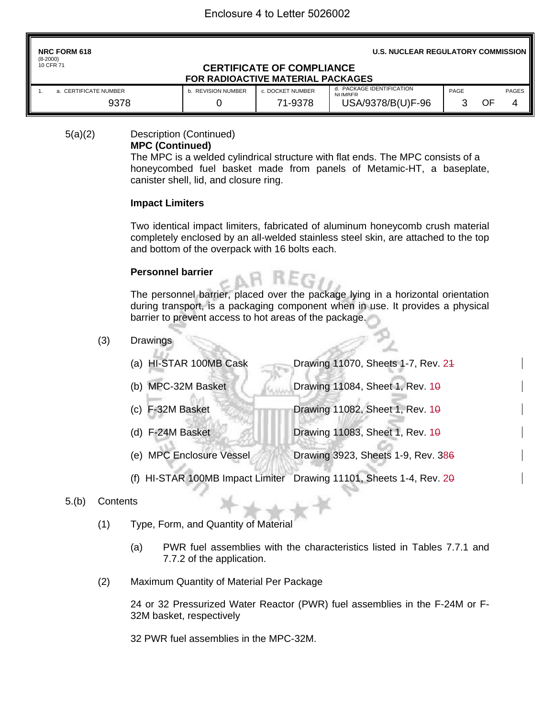| <b>NRC FORM 618</b><br>$(8-2000)$                                                  | <b>U.S. NUCLEAR REGULATORY COMMISSION   </b> |                  |                                          |      |    |              |  |  |  |  |
|------------------------------------------------------------------------------------|----------------------------------------------|------------------|------------------------------------------|------|----|--------------|--|--|--|--|
| 10 CFR 71<br><b>CERTIFICATE OF COMPLIANCE</b><br>FOR RADIOACTIVE MATERIAL PACKAGES |                                              |                  |                                          |      |    |              |  |  |  |  |
| a. CERTIFICATE NUMBER                                                              | <b>REVISION NUMBER</b>                       | c. DOCKET NUMBER | PACKAGE IDENTIFICATION<br>d.<br>NI IMRER | PAGE |    | <b>PAGES</b> |  |  |  |  |
| 9378                                                                               |                                              | 71-9378          | USA/9378/B(U)F-96                        |      | OF | 4            |  |  |  |  |

5(a)(2) Description (Continued)

# **MPC (Continued)**

The MPC is a welded cylindrical structure with flat ends. The MPC consists of a honeycombed fuel basket made from panels of Metamic-HT, a baseplate, canister shell, lid, and closure ring.

# **Impact Limiters**

Two identical impact limiters, fabricated of aluminum honeycomb crush material completely enclosed by an all-welded stainless steel skin, are attached to the top and bottom of the overpack with 16 bolts each.

## **Personnel barrier**

The personnel barrier, placed over the package lying in a horizontal orientation during transport, is a packaging component when in use. It provides a physical barrier to prevent access to hot areas of the package.

- (3) Drawings
	- (a) HI-STAR 100MB Cask Drawing 11070, Sheets 1-7, Rev. 24 (b) MPC-32M Basket Drawing 11084, Sheet 1, Rev.  $10$
	- (c) F-32M Basket Drawing 11082, Sheet 1, Rev.  $10<sup>9</sup>$
	- (d) F-24M Basket Drawing 11083, Sheet 1, Rev.  $10<sup>9</sup>$ 
		- (e) MPC Enclosure Vessel Drawing 3923, Sheets 1-9, Rev. 386
	- (f) HI-STAR 100MB Impact Limiter Drawing 11101, Sheets 1-4, Rev. 20

# 5.(b) Contents

- (1) Type, Form, and Quantity of Material
	- (a) PWR fuel assemblies with the characteristics listed in Tables 7.7.1 and 7.7.2 of the application.
- (2) Maximum Quantity of Material Per Package

24 or 32 Pressurized Water Reactor (PWR) fuel assemblies in the F-24M or F-32M basket, respectively

32 PWR fuel assemblies in the MPC-32M.